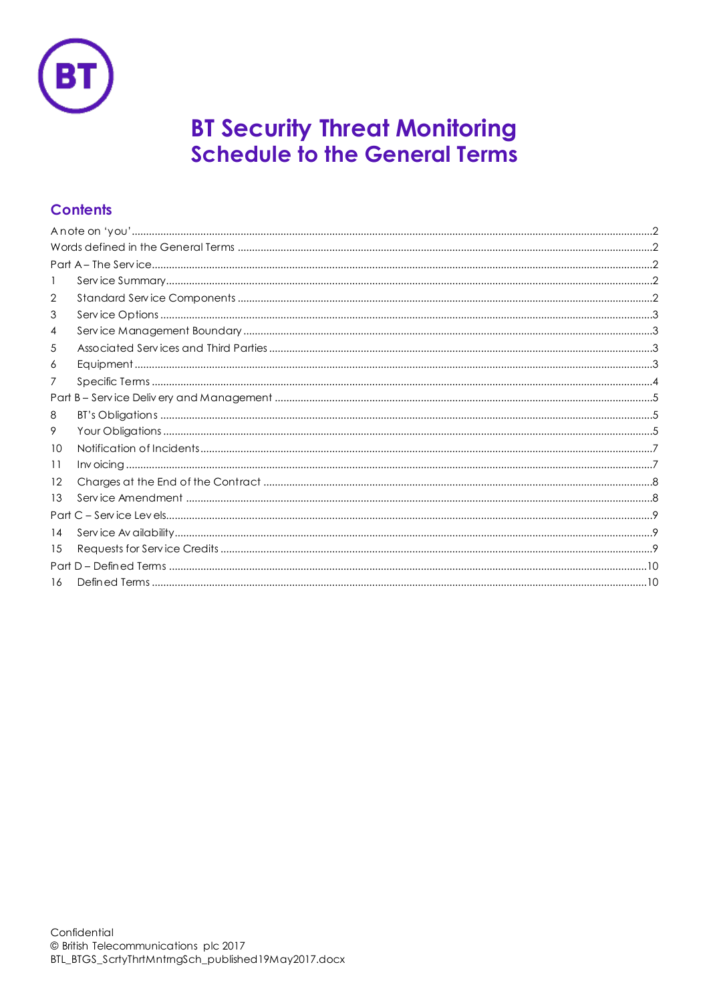

# **BT Security Threat Monitoring Schedule to the General Terms**

# **Contents**

| 2                 |  |
|-------------------|--|
| 3                 |  |
| 4                 |  |
| 5                 |  |
| 6                 |  |
| 7                 |  |
|                   |  |
| 8                 |  |
| 9                 |  |
| 10                |  |
| 11                |  |
| $12 \overline{ }$ |  |
| 13                |  |
|                   |  |
| 14                |  |
| 15                |  |
|                   |  |
| 16                |  |
|                   |  |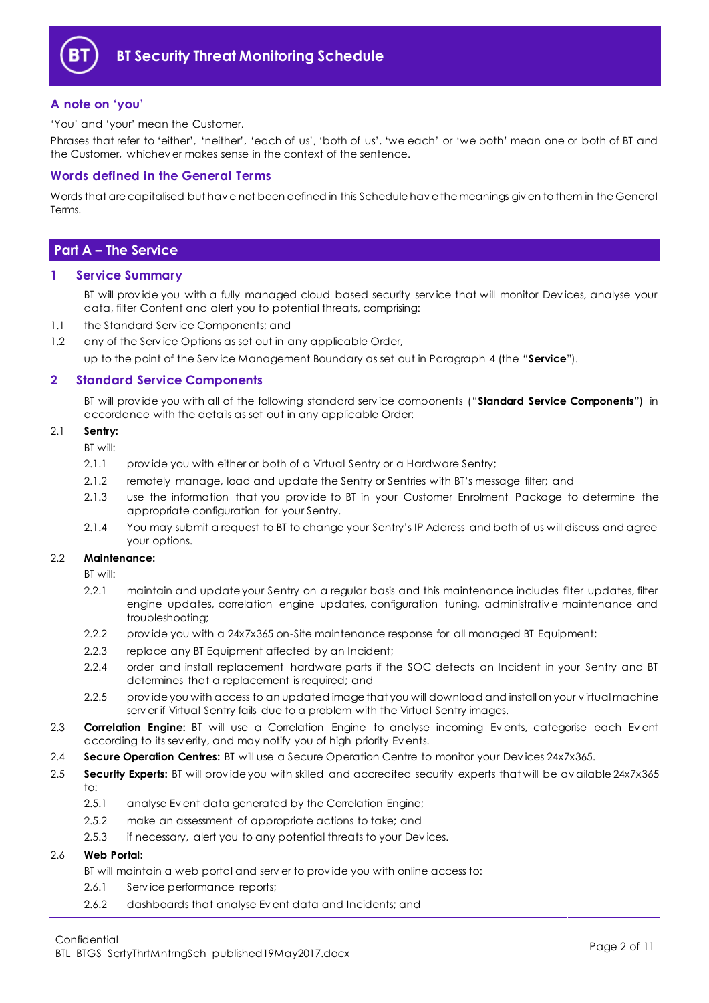

# <span id="page-1-0"></span>**A note on 'you'**

'You' and 'your' mean the Customer.

Phrases that refer to 'either', 'neither', 'each of us', 'both of us', 'we each' or 'we both' mean one or both of BT and the Customer, whichev er makes sense in the context of the sentence.

# <span id="page-1-1"></span>**Words defined in the General Terms**

Words that are capitalised but hav e not been defined in this Schedule hav e the meanings giv en to them in the General Terms.

# <span id="page-1-2"></span>**Part A – The Service**

#### <span id="page-1-3"></span>**1 Service Summary**

BT will prov ide you with a fully managed cloud based security serv ice that will monitor Dev ices, analyse your data, filter Content and alert you to potential threats, comprising:

- 1.1 the Standard Serv ice Components; and
- 1.2 any of the Service Options as set out in any applicable Order,

up to the point of the Serv ice Management Boundary as set out in Paragraph [4](#page-2-1) (the "**Service**").

# <span id="page-1-4"></span>**2 Standard Service Components**

BT will prov ide you with all of the following standard serv ice components ("**Standard Service Components**") in accordance with the details as set out in any applicable Order:

#### 2.1 **Sentry:**

BT will:

- 2.1.1 provide you with either or both of a Virtual Sentry or a Hardware Sentry;
- 2.1.2 remotely manage, load and update the Sentry or Sentries with BT's message filter; and
- 2.1.3 use the information that you prov ide to BT in your Customer Enrolment Package to determine the appropriate configuration for your Sentry.
- 2.1.4 You may submit a request to BT to change your Sentry's IP Address and both of us will discuss and agree your options.

#### 2.2 **Maintenance:**

BT will:

- 2.2.1 maintain and update your Sentry on a regular basis and this maintenance includes filter updates, filter engine updates, correlation engine updates, configuration tuning, administrativ e maintenance and troubleshooting;
- 2.2.2 prov ide you with a 24x7x365 on-Site maintenance response for all managed BT Equipment;
- 2.2.3 replace any BT Equipment affected by an Incident;
- 2.2.4 order and install replacement hardware parts if the SOC detects an Incident in your Sentry and BT determines that a replacement is required; and
- 2.2.5 prov ide you with access to an updated image that you will download and install on your v irtual machine serv er if Virtual Sentry fails due to a problem with the Virtual Sentry images.
- 2.3 **Correlation Engine:** BT will use a Correlation Engine to analyse incoming Ev ents, categorise each Ev ent according to its sev erity, and may notify you of high priority Ev ents.
- 2.4 **Secure Operation Centres:** BT will use a Secure Operation Centre to monitor your Dev ices 24x7x365.
- 2.5 **Security Experts:** BT will prov ide you with skilled and accredited security experts that will be av ailable 24x7x365 to:
	- 2.5.1 analyse Ev ent data generated by the Correlation Engine;
	- 2.5.2 make an assessment of appropriate actions to take; and
	- 2.5.3 if necessary, alert you to any potential threats to your Dev ices.

# 2.6 **Web Portal:**

- BT will maintain a web portal and serv er to prov ide you with online access to:
- 2.6.1 Serv ice performance reports;
- 2.6.2 dashboards that analyse Ev ent data and Incidents; and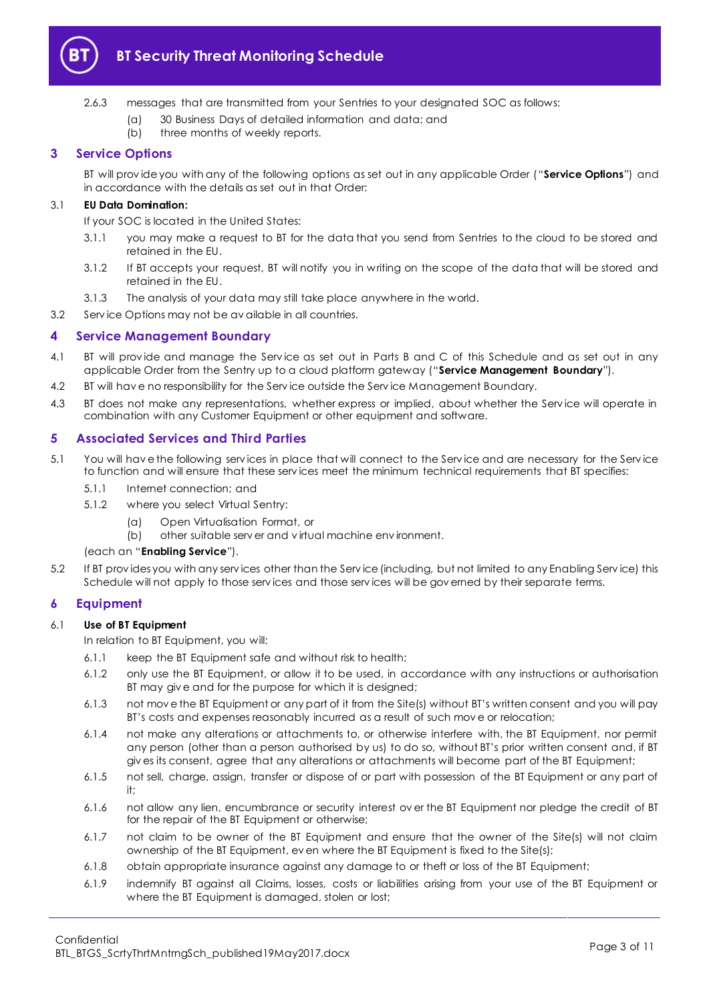

- (a) 30 Business Days of detailed information and data; and
- (b) three months of weekly reports.

# <span id="page-2-0"></span>**3 Service Options**

BT will prov ide you with any of the following options as set out in any applicable Order ("**Service Options**") and in accordance with the details as set out in that Order:

# 3.1 **EU Data Domination:**

If your SOC is located in the United States:

- 3.1.1 you may make a request to BT for the data that you send from Sentries to the cloud to be stored and retained in the EU.
- 3.1.2 If BT accepts your request, BT will notify you in writing on the scope of the data that will be stored and retained in the EU.
- 3.1.3 The analysis of your data may still take place anywhere in the world.
- 3.2 Serv ice Options may not be av ailable in all countries.

# <span id="page-2-1"></span>**4 Service Management Boundary**

- <span id="page-2-5"></span>4.1 BT will prov ide and manage the Serv ice as set out in Parts B and C of this Schedule and as set out in any applicable Order from the Sentry up to a cloud platform gateway ("**Service Management Boundary**").
- 4.2 BT will hav e no responsibility for the Serv ice outside the Serv ice Management Boundary.
- 4.3 BT does not make any representations, whether express or implied, about whether the Service will operate in combination with any Customer Equipment or other equipment and software.

# <span id="page-2-2"></span>**5 Associated Services and Third Parties**

- <span id="page-2-4"></span>5.1 You will hav e the following serv ices in place that will connect to the Serv ice and are necessary for the Serv ice to function and will ensure that these serv ices meet the minimum technical requirements that BT specifies:
	- 5.1.1 Internet connection; and
	- 5.1.2 where you select Virtual Sentry:
		- (a) Open Virtualisation Format, or
		- (b) other suitable serv er and v irtual machine env ironment.

#### (each an "**Enabling Service**").

5.2 If BT prov ides you with any serv ices other than the Serv ice (including, but not limited to any Enabling Serv ice) this Schedule will not apply to those serv ices and those serv ices will be gov erned by their separate terms.

# <span id="page-2-3"></span>**6 Equipment**

# 6.1 **Use of BT Equipment**

In relation to BT Equipment, you will:

- 6.1.1 keep the BT Equipment safe and without risk to health;
- 6.1.2 only use the BT Equipment, or allow it to be used, in accordance with any instructions or authorisation BT may giv e and for the purpose for which it is designed;
- 6.1.3 not mov e the BT Equipment or any part of it from the Site(s) without BT's written consent and you will pay BT's costs and expenses reasonably incurred as a result of such mov e or relocation;
- 6.1.4 not make any alterations or attachments to, or otherwise interfere with, the BT Equipment, nor permit any person (other than a person authorised by us) to do so, without BT's prior written consent and, if BT giv es its consent, agree that any alterations or attachments will become part of the BT Equipment;
- 6.1.5 not sell, charge, assign, transfer or dispose of or part with possession of the BT Equipment or any part of it;
- 6.1.6 not allow any lien, encumbrance or security interest ov er the BT Equipment nor pledge the credit of BT for the repair of the BT Equipment or otherwise;
- 6.1.7 not claim to be owner of the BT Equipment and ensure that the owner of the Site(s) will not claim ownership of the BT Equipment, ev en where the BT Equipment is fixed to the Site(s);
- 6.1.8 obtain appropriate insurance against any damage to or theft or loss of the BT Equipment;
- 6.1.9 indemnify BT against all Claims, losses, costs or liabilities arising from your use of the BT Equipment or where the BT Equipment is damaged, stolen or lost;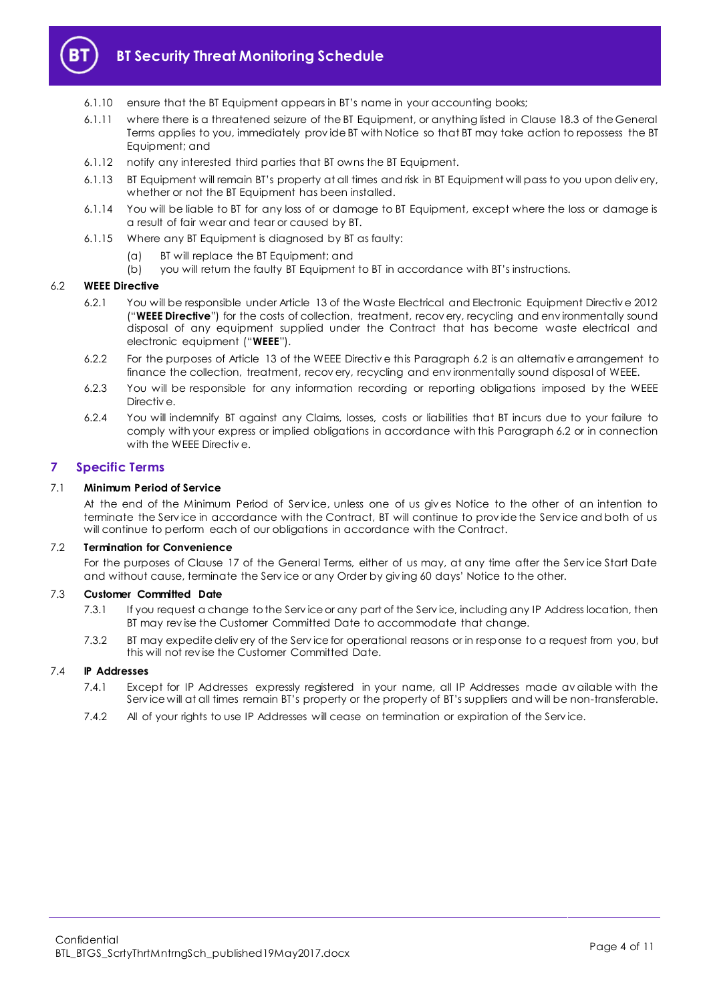

- 6.1.10 ensure that the BT Equipment appears in BT's name in your accounting books;
- 6.1.11 where there is a threatened seizure of the BT Equipment, or anything listed in Clause 18.3 of the General Terms applies to you, immediately prov ide BT with Notice so that BT may take action to repossess the BT Equipment; and
- 6.1.12 notify any interested third parties that BT owns the BT Equipment.
- 6.1.13 BT Equipment will remain BT's property at all times and risk in BT Equipment will pass to you upon deliv ery, whether or not the BT Equipment has been installed.
- 6.1.14 You will be liable to BT for any loss of or damage to BT Equipment, except where the loss or damage is a result of fair wear and tear or caused by BT.
- 6.1.15 Where any BT Equipment is diagnosed by BT as faulty:
	- (a) BT will replace the BT Equipment; and
	- (b) you will return the faulty BT Equipment to BT in accordance with BT's instructions.

#### <span id="page-3-2"></span><span id="page-3-1"></span>6.2 **WEEE Directive**

- 6.2.1 You will be responsible under Article 13 of the Waste Electrical and Electronic Equipment Directiv e 2012 ("**WEEE Directive**") for the costs of collection, treatment, recov ery, recycling and env ironmentally sound disposal of any equipment supplied under the Contract that has become waste electrical and electronic equipment ("**WEEE**").
- 6.2.2 For the purposes of Article 13 of the WEEE Directiv e this Paragrap[h 6.2](#page-3-1) is an alternativ e arrangement to finance the collection, treatment, recov ery, recycling and env ironmentally sound disposal of WEEE.
- 6.2.3 You will be responsible for any information recording or reporting obligations imposed by the WEEE Directiv e.
- 6.2.4 You will indemnify BT against any Claims, losses, costs or liabilities that BT incurs due to your failure to comply with your express or implied obligations in accordance with this Paragrap[h 6.2](#page-3-1) or in connection with the WEEE Directiv e.

#### <span id="page-3-0"></span>**7 Specific Terms**

#### 7.1 **Minimum Period of Service**

At the end of the Minimum Period of Serv ice, unless one of us giv es Notice to the other of an intention to terminate the Serv ice in accordance with the Contract, BT will continue to prov ide the Serv ice and both of us will continue to perform each of our obligations in accordance with the Contract.

#### 7.2 **Termination for Convenience**

For the purposes of Clause 17 of the General Terms, either of us may, at any time after the Serv ice Start Date and without cause, terminate the Serv ice or any Order by giv ing 60 days' Notice to the other.

#### 7.3 **Customer Committed Date**

- 7.3.1 If you request a change to the Service or any part of the Service, including any IP Address location, then BT may rev ise the Customer Committed Date to accommodate that change.
- 7.3.2 BT may expedite deliv ery of the Serv ice for operational reasons or in response to a request from you, but this will not rev ise the Customer Committed Date.

# 7.4 **IP Addresses**

- 7.4.1 Except for IP Addresses expressly registered in your name, all IP Addresses made av ailable with the Serv ice will at all times remain BT's property or the property of BT's suppliers and will be non-transferable.
- 7.4.2 All of your rights to use IP Addresses will cease on termination or expiration of the Serv ice.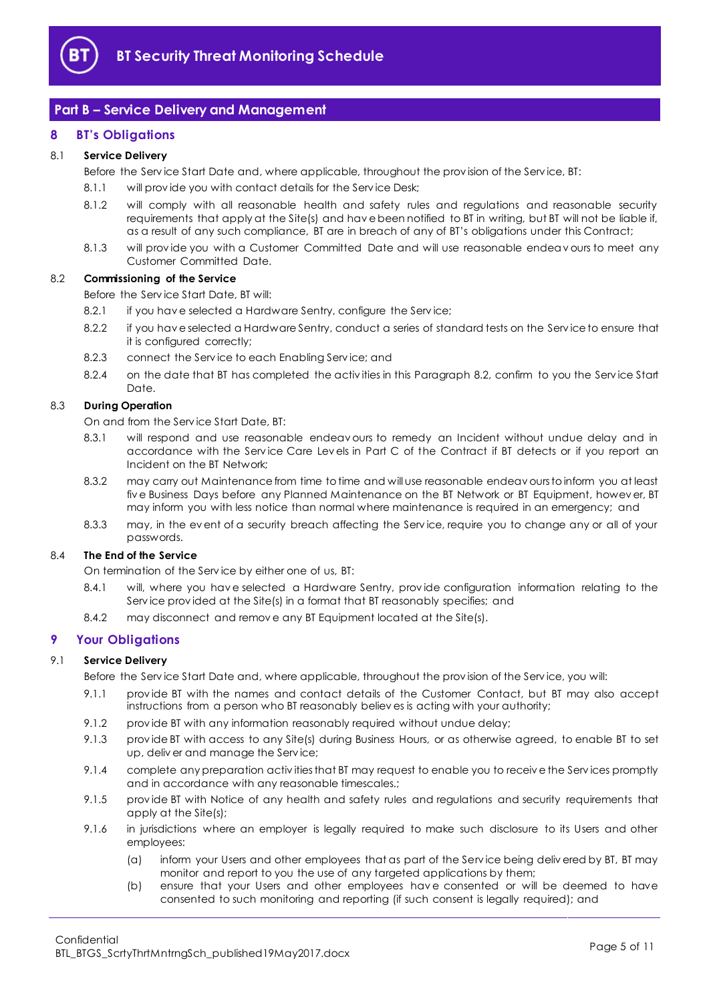

# <span id="page-4-0"></span>**Part B – Service Delivery and Management**

# <span id="page-4-1"></span>**8 BT's Obligations**

#### 8.1 **Service Delivery**

Before the Serv ice Start Date and, where applicable, throughout the prov ision of the Serv ice, BT:

- 8.1.1 will provide you with contact details for the Service Desk;
- 8.1.2 will comply with all reasonable health and safety rules and regulations and reasonable security requirements that apply at the Site(s) and hav e been notified to BT in writing, but BT will not be liable if, as a result of any such compliance, BT are in breach of any of BT's obligations under this Contract;
- 8.1.3 will prov ide you with a Customer Committed Date and will use reasonable endeav ours to meet any Customer Committed Date.

#### <span id="page-4-3"></span>8.2 **Commissioning of the Service**

Before the Serv ice Start Date, BT will:

- 8.2.1 if you have selected a Hardware Sentry, configure the Service;
- 8.2.2 if you hav e selected a Hardware Sentry, conduct a series of standard tests on the Serv ice to ensure that it is configured correctly;
- 8.2.3 connect the Serv ice to each Enabling Serv ice; and
- 8.2.4 on the date that BT has completed the activities in this Paragraph [8.2,](#page-4-3) confirm to you the Service Start Date.

#### 8.3 **During Operation**

On and from the Serv ice Start Date, BT:

- 8.3.1 will respond and use reasonable endeav ours to remedy an Incident without undue delay and in accordance with the Serv ice Care Lev els in Part C of the Contract if BT detects or if you report an Incident on the BT Network;
- 8.3.2 may carry out Maintenance from time to time and will use reasonable endeav ours to inform you at least fiv e Business Days before any Planned Maintenance on the BT Network or BT Equipment, howev er, BT may inform you with less notice than normal where maintenance is required in an emergency; and
- 8.3.3 may, in the ev ent of a security breach affecting the Serv ice, require you to change any or all of your passwords.

#### 8.4 **The End of the Service**

On termination of the Serv ice by either one of us, BT:

- 8.4.1 will, where you hav e selected a Hardware Sentry, prov ide configuration information relating to the Serv ice prov ided at the Site(s) in a format that BT reasonably specifies; and
- 8.4.2 may disconnect and remove any BT Equipment located at the Site(s).

# <span id="page-4-2"></span>**9 Your Obligations**

#### 9.1 **Service Delivery**

Before the Serv ice Start Date and, where applicable, throughout the prov ision of the Serv ice, you will:

- 9.1.1 prov ide BT with the names and contact details of the Customer Contact, but BT may also accept instructions from a person who BT reasonably believ es is acting with your authority;
- 9.1.2 prov ide BT with any information reasonably required without undue delay;
- 9.1.3 prov ide BT with access to any Site(s) during Business Hours, or as otherwise agreed, to enable BT to set up, deliv er and manage the Serv ice;
- 9.1.4 complete any preparation activities that BT may request to enable you to receive the Services promptly and in accordance with any reasonable timescales.;
- 9.1.5 prov ide BT with Notice of any health and safety rules and regulations and security requirements that apply at the Site(s);
- <span id="page-4-4"></span>9.1.6 in jurisdictions where an employer is legally required to make such disclosure to its Users and other employees:
	- (a) inform your Users and other employees that as part of the Serv ice being deliv ered by BT, BT may monitor and report to you the use of any targeted applications by them;
	- (b) ensure that your Users and other employees hav e consented or will be deemed to have consented to such monitoring and reporting (if such consent is legally required); and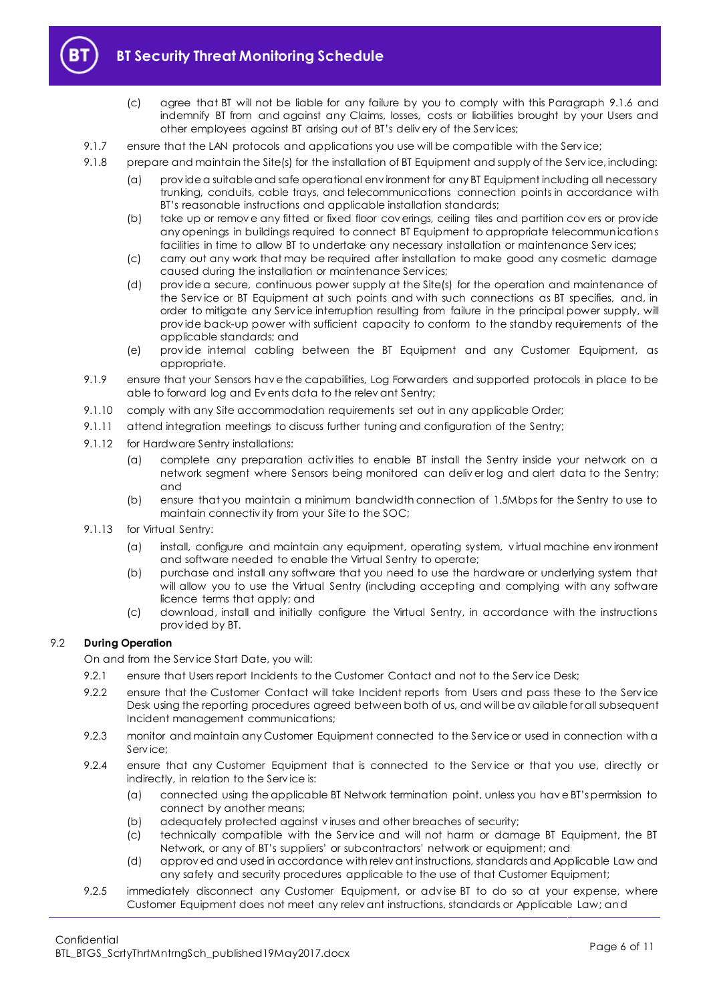

- (c) agree that BT will not be liable for any failure by you to comply with this Paragraph [9.1.6](#page-4-4) and indemnify BT from and against any Claims, losses, costs or liabilities brought by your Users and other employees against BT arising out of BT's deliv ery of the Serv ices;
- 9.1.7 ensure that the LAN protocols and applications you use will be compatible with the Service;
- 9.1.8 prepare and maintain the Site(s) for the installation of BT Equipment and supply of the Service, including:
	- (a) prov ide a suitable and safe operational env ironment for any BT Equipment including all necessary trunking, conduits, cable trays, and telecommunications connection points in accordance with BT's reasonable instructions and applicable installation standards;
	- (b) take up or remov e any fitted or fixed floor cov erings, ceiling tiles and partition cov ers or prov ide any openings in buildings required to connect BT Equipment to appropriate telecommunications facilities in time to allow BT to undertake any necessary installation or maintenance Serv ices;
	- (c) carry out any work that may be required after installation to make good any cosmetic damage caused during the installation or maintenance Serv ices;
	- (d) prov ide a secure, continuous power supply at the Site(s) for the operation and maintenance of the Serv ice or BT Equipment at such points and with such connections as BT specifies, and, in order to mitigate any Serv ice interruption resulting from failure in the principal power supply, will prov ide back-up power with sufficient capacity to conform to the standby requirements of the applicable standards; and
	- (e) prov ide internal cabling between the BT Equipment and any Customer Equipment, as appropriate.
- 9.1.9 ensure that your Sensors hav e the capabilities, Log Forwarders and supported protocols in place to be able to forward log and Ev ents data to the relev ant Sentry;
- 9.1.10 comply with any Site accommodation requirements set out in any applicable Order;
- 9.1.11 attend integration meetings to discuss further tuning and configuration of the Sentry;
- 9.1.12 for Hardware Sentry installations:
	- (a) complete any preparation activ ities to enable BT install the Sentry inside your network on a network segment where Sensors being monitored can deliv er log and alert data to the Sentry; and
	- (b) ensure that you maintain a minimum bandwidth connection of 1.5Mbps for the Sentry to use to maintain connectiv ity from your Site to the SOC;
- 9.1.13 for Virtual Sentry:
	- (a) install, configure and maintain any equipment, operating system, v irtual machine env ironment and software needed to enable the Virtual Sentry to operate;
	- (b) purchase and install any software that you need to use the hardware or underlying system that will allow you to use the Virtual Sentry (including accepting and complying with any software licence terms that apply; and
	- (c) download, install and initially configure the Virtual Sentry, in accordance with the instructions prov ided by BT.

# 9.2 **During Operation**

On and from the Serv ice Start Date, you will:

- 9.2.1 ensure that Users report Incidents to the Customer Contact and not to the Serv ice Desk;
- 9.2.2 ensure that the Customer Contact will take Incident reports from Users and pass these to the Service Desk using the reporting procedures agreed between both of us, and will be av ailable for all subsequent Incident management communications;
- 9.2.3 monitor and maintain any Customer Equipment connected to the Service or used in connection with a Serv ice;
- 9.2.4 ensure that any Customer Equipment that is connected to the Service or that you use, directly or indirectly, in relation to the Serv ice is:
	- (a) connected using the applicable BT Network termination point, unless you hav e BT's permission to connect by another means;
	- (b) adequately protected against v iruses and other breaches of security;
	- (c) technically compatible with the Serv ice and will not harm or damage BT Equipment, the BT Network, or any of BT's suppliers' or subcontractors' network or equipment; and
	- (d) approv ed and used in accordance with relev ant instructions, standards and Applicable Law and any safety and security procedures applicable to the use of that Customer Equipment;
- 9.2.5 immediately disconnect any Customer Equipment, or adv ise BT to do so at your expense, where Customer Equipment does not meet any relev ant instructions, standards or Applicable Law; and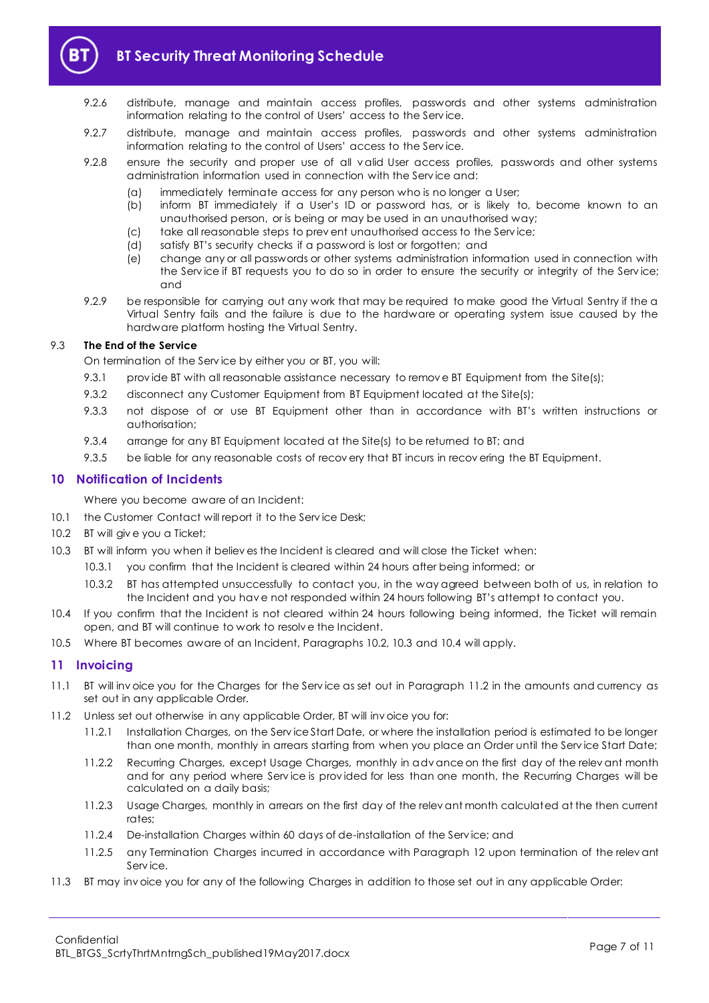

# **BT Security Threat Monitoring Schedule**

- 9.2.6 distribute, manage and maintain access profiles, passwords and other systems administration information relating to the control of Users' access to the Serv ice.
- 9.2.7 distribute, manage and maintain access profiles, passwords and other systems administration information relating to the control of Users' access to the Serv ice.
- 9.2.8 ensure the security and proper use of all v alid User access profiles, passwords and other systems administration information used in connection with the Serv ice and:
	- (a) immediately terminate access for any person who is no longer a User;
	- (b) inform BT immediately if a User's ID or password has, or is likely to, become known to an unauthorised person, or is being or may be used in an unauthorised way;
	- (c) take all reasonable steps to prev ent unauthorised access to the Serv ice;
	- (d) satisfy BT's security checks if a password is lost or forgotten; and
	- (e) change any or all passwords or other systems administration information used in connection with the Serv ice if BT requests you to do so in order to ensure the security or integrity of the Serv ice; and
- 9.2.9 be responsible for carrying out any work that may be required to make good the Virtual Sentry if the a Virtual Sentry fails and the failure is due to the hardware or operating system issue caused by the hardware platform hosting the Virtual Sentry.

#### 9.3 **The End of the Service**

On termination of the Serv ice by either you or BT, you will:

- 9.3.1 provide BT with all reasonable assistance necessary to remove BT Equipment from the Site(s);
- 9.3.2 disconnect any Customer Equipment from BT Equipment located at the Site(s);
- 9.3.3 not dispose of or use BT Equipment other than in accordance with BT's written instructions or authorisation;
- 9.3.4 arrange for any BT Equipment located at the Site(s) to be returned to BT; and
- 9.3.5 be liable for any reasonable costs of recov ery that BT incurs in recov ering the BT Equipment.

#### <span id="page-6-0"></span>**10 Notification of Incidents**

Where you become aware of an Incident:

10.1 the Customer Contact will report it to the Service Desk;

- <span id="page-6-2"></span>10.2 BT will giv e you a Ticket;
- <span id="page-6-3"></span>10.3 BT will inform you when it believ es the Incident is cleared and will close the Ticket when:
	- 10.3.1 you confirm that the Incident is cleared within 24 hours after being informed; or
	- 10.3.2 BT has attempted unsuccessfully to contact you, in the way agreed between both of us, in relation to the Incident and you hav e not responded within 24 hours following BT's attempt to contact you.
- <span id="page-6-4"></span>10.4 If you confirm that the Incident is not cleared within 24 hours following being informed, the Ticket will remain open, and BT will continue to work to resolv e the Incident.
- 10.5 Where BT becomes aware of an Incident, Paragraph[s 10.2,](#page-6-2) [10.3](#page-6-3) and [10.4](#page-6-4) will apply.

# <span id="page-6-1"></span>**11 Invoicing**

- 11.1 BT will inv oice you for the Charges for the Serv ice as set out in Paragraph [11.2](#page-6-5) in the amounts and currency as set out in any applicable Order.
- <span id="page-6-5"></span>11.2 Unless set out otherwise in any applicable Order, BT will inv oice you for:
	- 11.2.1 Installation Charges, on the Serv ice Start Date, or where the installation period is estimated to be longer than one month, monthly in arrears starting from when you place an Order until the Serv ice Start Date;
	- 11.2.2 Recurring Charges, except Usage Charges, monthly in adv ance on the first day of the relev ant month and for any period where Service is provided for less than one month, the Recurring Charges will be calculated on a daily basis;
	- 11.2.3 Usage Charges, monthly in arrears on the first day of the relev ant month calculated at the then current rates;
	- 11.2.4 De-installation Charges within 60 days of de-installation of the Serv ice; and
	- 11.2.5 any Termination Charges incurred in accordance with Paragraph [12](#page-7-0) upon termination of the relev ant Serv ice.
- 11.3 BT may inv oice you for any of the following Charges in addition to those set out in any applicable Order: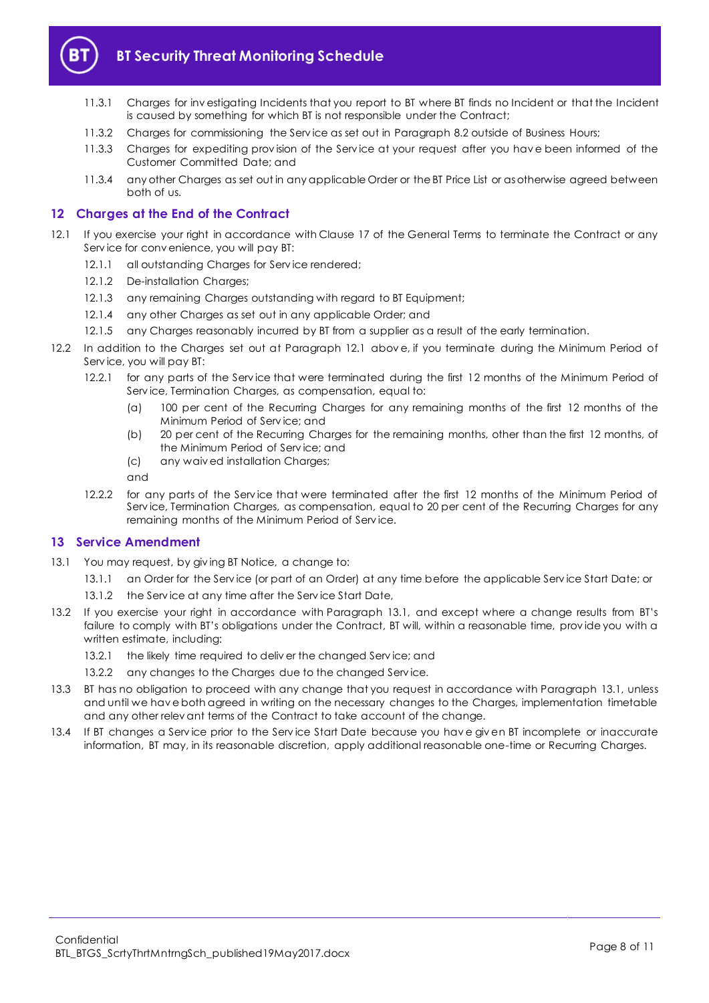

- 11.3.1 Charges for inv estigating Incidents that you report to BT where BT finds no Incident or that the Incident is caused by something for which BT is not responsible under the Contract;
- 11.3.2 Charges for commissioning the Serv ice as set out in Paragrap[h 8.2](#page-4-3) outside of Business Hours;
- 11.3.3 Charges for expediting prov ision of the Serv ice at your request after you hav e been informed of the Customer Committed Date; and
- 11.3.4 any other Charges as set out in any applicable Order or the BT Price List or as otherwise agreed between both of us.

# <span id="page-7-0"></span>**12 Charges at the End of the Contract**

- <span id="page-7-2"></span>12.1 If you exercise your right in accordance with Clause 17 of the General Terms to terminate the Contract or any Serv ice for conv enience, you will pay BT:
	- 12.1.1 all outstanding Charges for Service rendered;
	- 12.1.2 De-installation Charges:
	- 12.1.3 any remaining Charges outstanding with regard to BT Equipment;
	- 12.1.4 any other Charges as set out in any applicable Order; and
	- 12.1.5 any Charges reasonably incurred by BT from a supplier as a result of the early termination.
- 12.2 In addition to the Charges set out at Paragraph [12.1](#page-7-2) abov e, if you terminate during the Minimum Period of Serv ice, you will pay BT:
	- 12.2.1 for any parts of the Serv ice that were terminated during the first 12 months of the Minimum Period of Serv ice, Termination Charges, as compensation, equal to:
		- (a) 100 per cent of the Recurring Charges for any remaining months of the first 12 months of the Minimum Period of Serv ice; and
		- (b) 20 per cent of the Recurring Charges for the remaining months, other than the first 12 months, of the Minimum Period of Serv ice; and
		- (c) any waiv ed installation Charges;
		- and
	- 12.2.2 for any parts of the Serv ice that were terminated after the first 12 months of the Minimum Period of Service, Termination Charges, as compensation, equal to 20 per cent of the Recurring Charges for any remaining months of the Minimum Period of Serv ice.

# <span id="page-7-1"></span>**13 Service Amendment**

- <span id="page-7-3"></span>13.1 You may request, by giv ing BT Notice, a change to:
	- 13.1.1 an Order for the Serv ice (or part of an Order) at any time before the applicable Serv ice Start Date; or
	- 13.1.2 the Service at any time after the Service Start Date,
- 13.2 If you exercise your right in accordance with Paragraph [13.1,](#page-7-3) and except where a change results from BT's failure to comply with BT's obligations under the Contract, BT will, within a reasonable time, prov ide you with a written estimate, including:
	- 13.2.1 the likely time required to deliver the changed Service; and
	- 13.2.2 any changes to the Charges due to the changed Serv ice.
- 13.3 BT has no obligation to proceed with any change that you request in accordance with Paragraph [13.1,](#page-7-3) unless and until we hav e both agreed in writing on the necessary changes to the Charges, implementation timetable and any other relev ant terms of the Contract to take account of the change.
- 13.4 If BT changes a Serv ice prior to the Serv ice Start Date because you hav e giv en BT incomplete or inaccurate information, BT may, in its reasonable discretion, apply additional reasonable one-time or Recurring Charges.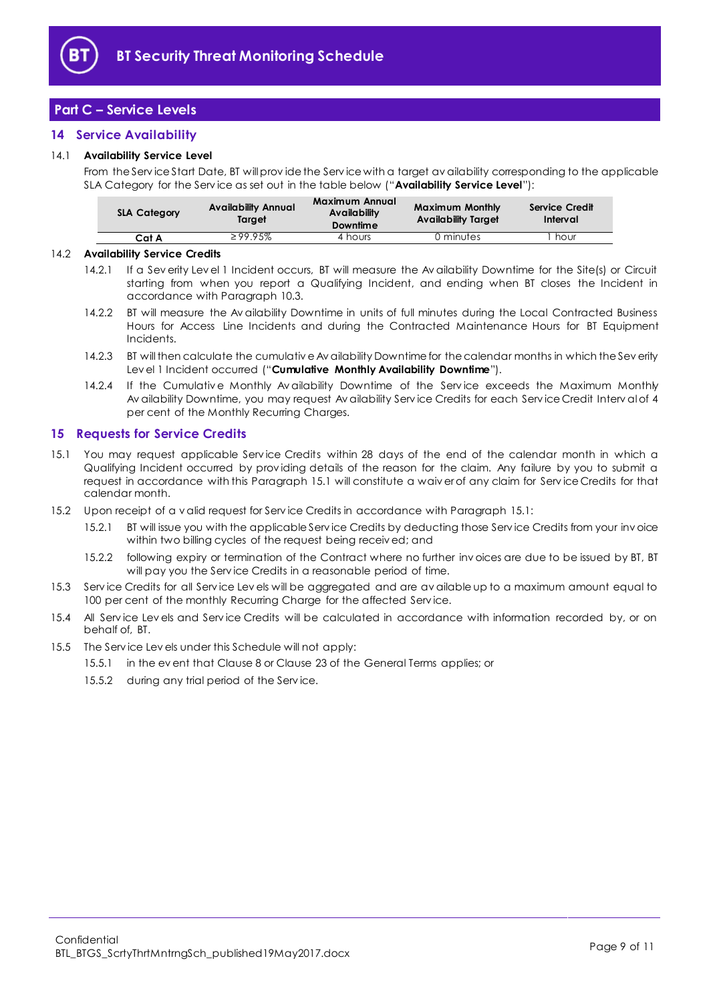

# <span id="page-8-0"></span>**Part C – Service Levels**

# <span id="page-8-1"></span>**14 Service Availability**

#### <span id="page-8-4"></span>14.1 **Availability Service Level**

From the Serv ice Start Date, BT will prov ide the Serv ice with a target av ailability corresponding to the applicable SLA Category for the Serv ice as set out in the table below ("**Availability Service Level**"):

| <b>SLA Category</b> | <b>Availability Annual</b><br>Taraet | Maximum Annual<br>Availability<br><b>Downtime</b> | <b>Maximum Monthly</b><br>Availability Taraet | Service Credit<br>Interval |
|---------------------|--------------------------------------|---------------------------------------------------|-----------------------------------------------|----------------------------|
| Cat A               | $\geq 99.95\%$                       | 4 hours                                           | 0 minutes                                     | hour                       |

#### 14.2 **Availability Service Credits**

- 14.2.1 If a Sev erity Lev el 1 Incident occurs, BT will measure the Av ailability Downtime for the Site(s) or Circuit starting from when you report a Qualifying Incident, and ending when BT closes the Incident in accordance with Paragrap[h 10.3.](#page-6-3)
- 14.2.2 BT will measure the Av ailability Downtime in units of full minutes during the Local Contracted Business Hours for Access Line Incidents and during the Contracted Maintenance Hours for BT Equipment Incidents.
- <span id="page-8-6"></span>14.2.3 BT will then calculate the cumulativ e Av ailability Downtime for the calendar months in which the Sev erity Lev el 1 Incident occurred ("**Cumulative Monthly Availability Downtime**").
- <span id="page-8-5"></span>14.2.4 If the Cumulative Monthly Availability Downtime of the Service exceeds the Maximum Monthly Av ailability Downtime, you may request Av ailability Serv ice Credits for each Serv ice Credit Interv al of 4 per cent of the Monthly Recurring Charges.

#### <span id="page-8-2"></span>**15 Requests for Service Credits**

- <span id="page-8-3"></span>15.1 You may request applicable Serv ice Credits within 28 days of the end of the calendar month in which a Qualifying Incident occurred by prov iding details of the reason for the claim. Any failure by you to submit a request in accordance with this Paragraph [15.1](#page-8-3) will constitute a waiv er of any claim for Serv ice Credits for that calendar month.
- 15.2 Upon receipt of a v alid request for Serv ice Credits in accordance with Paragrap[h 15.1:](#page-8-3)
	- 15.2.1 BT will issue you with the applicable Serv ice Credits by deducting those Serv ice Credits from your inv oice within two billing cycles of the request being receiv ed; and
	- 15.2.2 following expiry or termination of the Contract where no further inv oices are due to be issued by BT, BT will pay you the Serv ice Credits in a reasonable period of time.
- 15.3 Serv ice Credits for all Serv ice Lev els will be aggregated and are av ailable up to a maximum amount equal to 100 per cent of the monthly Recurring Charge for the affected Service.
- 15.4 All Serv ice Lev els and Serv ice Credits will be calculated in accordance with information recorded by, or on behalf of, BT.
- 15.5 The Serv ice Lev els under this Schedule will not apply:
	- 15.5.1 in the ev ent that Clause 8 or Clause 23 of the General Terms applies; or
		- 15.5.2 during any trial period of the Serv ice.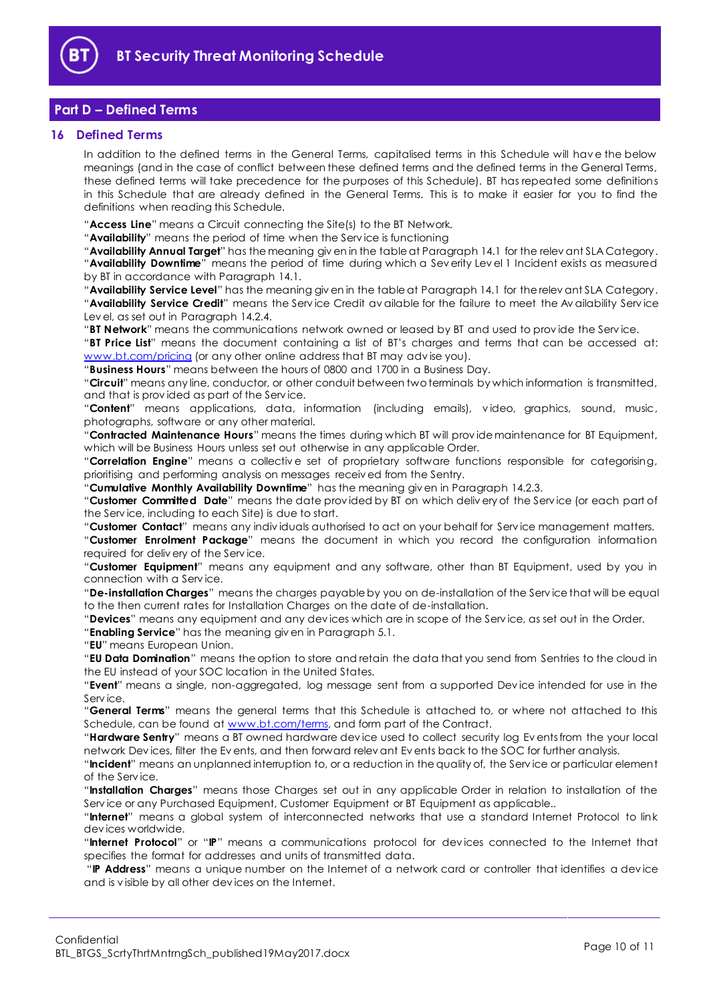

# <span id="page-9-0"></span>**Part D – Defined Terms**

#### <span id="page-9-1"></span>**16 Defined Terms**

In addition to the defined terms in the General Terms, capitalised terms in this Schedule will hav e the below meanings (and in the case of conflict between these defined terms and the defined terms in the General Terms, these defined terms will take precedence for the purposes of this Schedule). BT has repeated some definitions in this Schedule that are already defined in the General Terms. This is to make it easier for you to find the definitions when reading this Schedule.

"**Access Line**" means a Circuit connecting the Site(s) to the BT Network.

"**Availability**" means the period of time when the Serv ice is functioning

"**Availability Annual Target**" has the meaning giv en in the table at Paragraph [14.1](#page-8-4) for the relev ant SLA Category. "**Availability Downtime**" means the period of time during which a Sev erity Lev el 1 Incident exists as measured by BT in accordance with Paragraph [14.1.](#page-8-4)

"**Availability Service Level**" has the meaning giv en in the table at Paragraph [14.1](#page-8-4) for the relev ant SLA Category. "**Availability Service Credit**" means the Serv ice Credit av ailable for the failure to meet the Av ailability Serv ice Lev el, as set out in Paragraph [14.2.4.](#page-8-5) 

"**BT Network**" means the communications network owned or leased by BT and used to prov ide the Serv ice.

"**BT Price List**" means the document containing a list of BT's charges and terms that can be accessed at: [www.bt.com/pricing](http://www.bt.com/pricing) (or any other online address that BT may advise you).

"**Business Hours**" means between the hours of 0800 and 1700 in a Business Day.

"**Circuit**" means any line, conductor, or other conduit between two terminals by which information is transmitted, and that is prov ided as part of the Serv ice.

"**Content**" means applications, data, information (including emails), v ideo, graphics, sound, music, photographs, software or any other material.

"**Contracted Maintenance Hours**" means the times during which BT will prov ide maintenance for BT Equipment, which will be Business Hours unless set out otherwise in any applicable Order.

"**Correlation Engine**" means a collectiv e set of proprietary software functions responsible for categorising, prioritising and performing analysis on messages receiv ed from the Sentry.

"**Cumulative Monthly Availability Downtime**" has the meaning giv en in Paragrap[h 14.2.3.](#page-8-6)

"**Customer Committed Date**" means the date prov ided by BT on which deliv ery of the Serv ice (or each part of the Serv ice, including to each Site) is due to start.

"**Customer Contact**" means any indiv iduals authorised to act on your behalf for Serv ice management matters. "**Customer Enrolment Package**" means the document in which you record the configuration information required for deliv ery of the Serv ice.

"**Customer Equipment**" means any equipment and any software, other than BT Equipment, used by you in connection with a Serv ice.

"**De-installation Charges**" means the charges payable by you on de-installation of the Serv ice that will be equal to the then current rates for Installation Charges on the date of de-installation.

"**Devices**" means any equipment and any dev ices which are in scope of the Serv ice, as set out in the Order.

"**Enabling Service**" has the meaning giv en in Paragrap[h 5.1.](#page-2-4)

"**EU**" means European Union.

"**EU Data Domination**" means the option to store and retain the data that you send from Sentries to the cloud in the EU instead of your SOC location in the United States.

"**Event**" means a single, non-aggregated, log message sent from a supported Dev ice intended for use in the Serv ice.

"**General Terms**" means the general terms that this Schedule is attached to, or where not attached to this Schedule, can be found at [www.bt.com/terms,](http://www.bt.com/terms) and form part of the Contract.

"**Hardware Sentry**" means a BT owned hardware dev ice used to collect security log Ev ents from the your local network Dev ices, filter the Ev ents, and then forward relev ant Ev ents back to the SOC for further analysis.

"**Incident**" means an unplanned interruption to, or a reduction in the quality of, the Serv ice or particular element of the Serv ice.

"**Installation Charges**" means those Charges set out in any applicable Order in relation to installation of the Serv ice or any Purchased Equipment, Customer Equipment or BT Equipment as applicable..

"**Internet**" means a global system of interconnected networks that use a standard Internet Protocol to link dev ices worldwide.

"**Internet Protocol**" or "**IP**" means a communications protocol for dev ices connected to the Internet that specifies the format for addresses and units of transmitted data.

"**IP Address**" means a unique number on the Internet of a network card or controller that identifies a dev ice and is v isible by all other dev ices on the Internet.